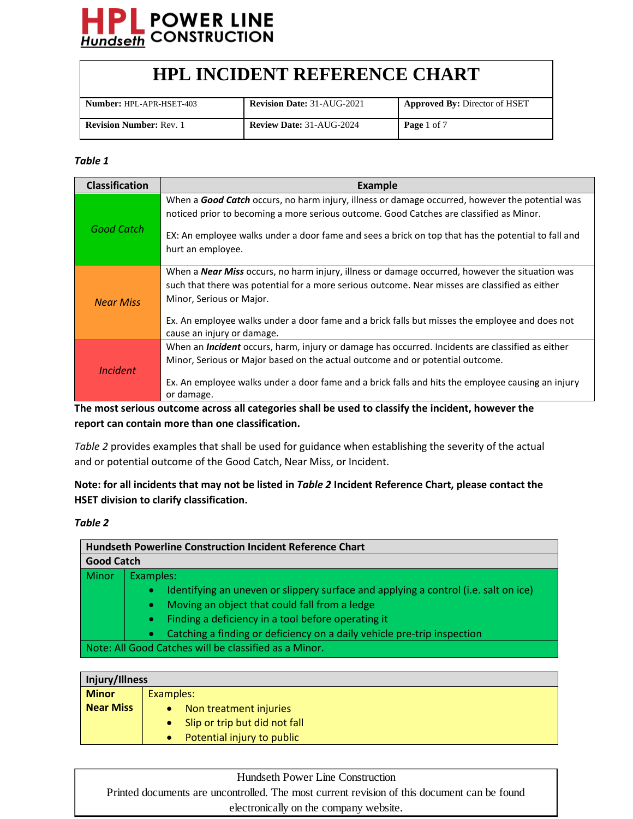

| <b>Number: HPL-APR-HSET-403</b> | <b>Revision Date: 31-AUG-2021</b> | Approved By: Director of HSET |
|---------------------------------|-----------------------------------|-------------------------------|
| <b>Revision Number: Rev. 1</b>  | <b>Review Date: 31-AUG-2024</b>   | <b>Page</b> 1 of 7            |

#### *Table 1*

| <b>Classification</b> | <b>Example</b>                                                                                                                                                                                                                                                                                                                                                      |
|-----------------------|---------------------------------------------------------------------------------------------------------------------------------------------------------------------------------------------------------------------------------------------------------------------------------------------------------------------------------------------------------------------|
| Good Catch            | When a <b>Good Catch</b> occurs, no harm injury, illness or damage occurred, however the potential was<br>noticed prior to becoming a more serious outcome. Good Catches are classified as Minor.<br>EX: An employee walks under a door fame and sees a brick on top that has the potential to fall and<br>hurt an employee.                                        |
| <b>Near Miss</b>      | When a <b>Near Miss</b> occurs, no harm injury, illness or damage occurred, however the situation was<br>such that there was potential for a more serious outcome. Near misses are classified as either<br>Minor, Serious or Major.<br>Ex. An employee walks under a door fame and a brick falls but misses the employee and does not<br>cause an injury or damage. |
| <b>Incident</b>       | When an <i>Incident</i> occurs, harm, injury or damage has occurred. Incidents are classified as either<br>Minor, Serious or Major based on the actual outcome and or potential outcome.<br>Ex. An employee walks under a door fame and a brick falls and hits the employee causing an injury<br>or damage.                                                         |

**The most serious outcome across all categories shall be used to classify the incident, however the report can contain more than one classification.**

*Table 2* provides examples that shall be used for guidance when establishing the severity of the actual and or potential outcome of the Good Catch, Near Miss, or Incident.

#### **Note: for all incidents that may not be listed in** *Table 2* **Incident Reference Chart, please contact the HSET division to clarify classification.**

#### *Table 2*

|                   | <b>Hundseth Powerline Construction Incident Reference Chart</b>                                  |
|-------------------|--------------------------------------------------------------------------------------------------|
| <b>Good Catch</b> |                                                                                                  |
| Minor             | Examples:                                                                                        |
|                   | Identifying an uneven or slippery surface and applying a control (i.e. salt on ice)<br>$\bullet$ |
|                   | Moving an object that could fall from a ledge<br>۰                                               |
|                   | Finding a deficiency in a tool before operating it                                               |
|                   | Catching a finding or deficiency on a daily vehicle pre-trip inspection<br>$\bullet$             |
|                   | Note: All Good Catches will be classified as a Minor.                                            |

| Injury/Illness   |                               |
|------------------|-------------------------------|
| <b>Minor</b>     | Examples:                     |
| <b>Near Miss</b> | Non treatment injuries        |
|                  | Slip or trip but did not fall |
|                  | Potential injury to public    |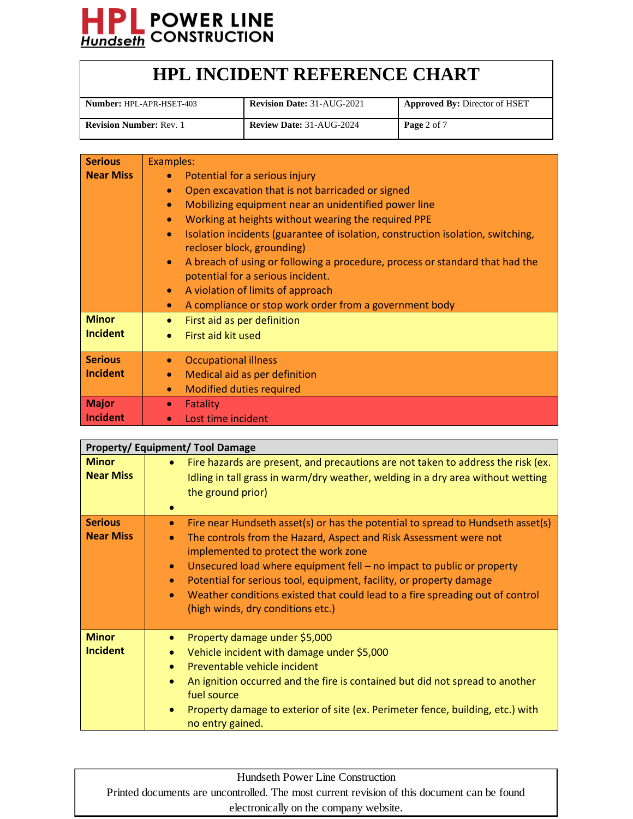

| <b>Number:</b> HPL-APR-HSET-403 | <b>Revision Date: 31-AUG-2021</b> | <b>Approved By: Director of HSET</b> |
|---------------------------------|-----------------------------------|--------------------------------------|
| <b>Revision Number: Rev. 1</b>  | <b>Review Date: 31-AUG-2024</b>   | Page 2 of 7                          |

| <b>Serious</b>   | Examples:                                                                                                                      |  |  |
|------------------|--------------------------------------------------------------------------------------------------------------------------------|--|--|
| <b>Near Miss</b> | Potential for a serious injury<br>$\bullet$                                                                                    |  |  |
|                  | Open excavation that is not barricaded or signed<br>۰                                                                          |  |  |
|                  | Mobilizing equipment near an unidentified power line<br>$\bullet$                                                              |  |  |
|                  | Working at heights without wearing the required PPE<br>$\bullet$                                                               |  |  |
|                  | Isolation incidents (guarantee of isolation, construction isolation, switching,<br>$\bullet$<br>recloser block, grounding)     |  |  |
|                  | A breach of using or following a procedure, process or standard that had the<br>$\bullet$<br>potential for a serious incident. |  |  |
|                  | A violation of limits of approach<br>$\bullet$                                                                                 |  |  |
|                  | A compliance or stop work order from a government body<br>۰                                                                    |  |  |
| <b>Minor</b>     | First aid as per definition                                                                                                    |  |  |
| <b>Incident</b>  | First aid kit used<br>$\bullet$                                                                                                |  |  |
| <b>Serious</b>   | <b>Occupational illness</b><br>$\bullet$                                                                                       |  |  |
| <b>Incident</b>  | Medical aid as per definition<br>$\bullet$                                                                                     |  |  |
|                  | <b>Modified duties required</b><br>$\bullet$                                                                                   |  |  |
| <b>Major</b>     | Fatality<br>$\bullet$                                                                                                          |  |  |
| <b>Incident</b>  | Lost time incident<br>$\bullet$                                                                                                |  |  |

|                                    | <b>Property/Equipment/Tool Damage</b>                                                                                                                                                                                                                                                                                                                                                                                                                                                                                               |
|------------------------------------|-------------------------------------------------------------------------------------------------------------------------------------------------------------------------------------------------------------------------------------------------------------------------------------------------------------------------------------------------------------------------------------------------------------------------------------------------------------------------------------------------------------------------------------|
| <b>Minor</b><br><b>Near Miss</b>   | Fire hazards are present, and precautions are not taken to address the risk (ex.<br>$\bullet$<br>Idling in tall grass in warm/dry weather, welding in a dry area without wetting<br>the ground prior)<br>$\bullet$                                                                                                                                                                                                                                                                                                                  |
| <b>Serious</b><br><b>Near Miss</b> | Fire near Hundseth asset(s) or has the potential to spread to Hundseth asset(s)<br>$\bullet$<br>The controls from the Hazard, Aspect and Risk Assessment were not<br>$\bullet$<br>implemented to protect the work zone<br>Unsecured load where equipment fell - no impact to public or property<br>$\bullet$<br>Potential for serious tool, equipment, facility, or property damage<br>$\bullet$<br>Weather conditions existed that could lead to a fire spreading out of control<br>$\bullet$<br>(high winds, dry conditions etc.) |
| <b>Minor</b><br><b>Incident</b>    | Property damage under \$5,000<br>۰<br>Vehicle incident with damage under \$5,000<br>۰<br>Preventable vehicle incident<br>$\bullet$<br>An ignition occurred and the fire is contained but did not spread to another<br>$\bullet$<br>fuel source<br>Property damage to exterior of site (ex. Perimeter fence, building, etc.) with<br>۰<br>no entry gained.                                                                                                                                                                           |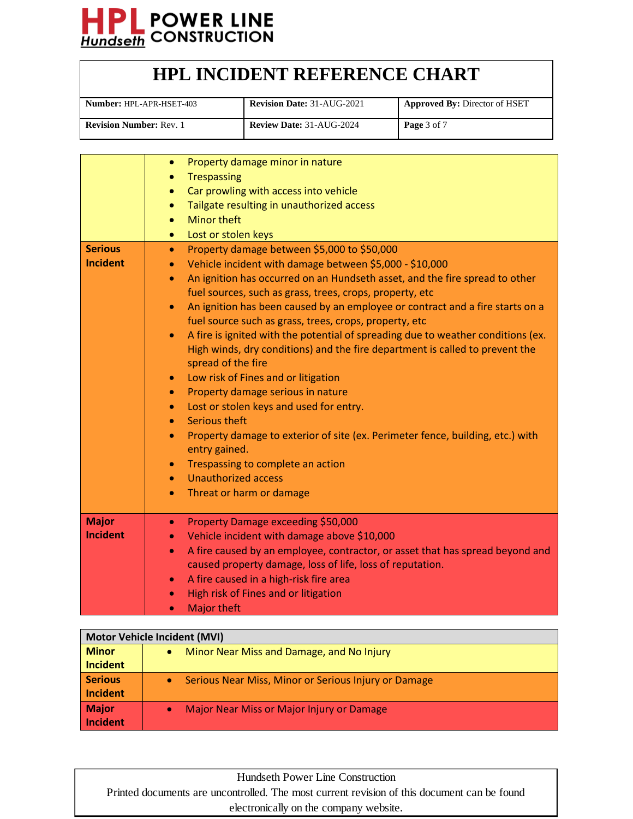

| <b>Number: HPL-APR-HSET-403</b> | <b>Revision Date: 31-AUG-2021</b> | <b>Approved By: Director of HSET</b> |
|---------------------------------|-----------------------------------|--------------------------------------|
| <b>Revision Number: Rev. 1</b>  | <b>Review Date: 31-AUG-2024</b>   | Page 3 of 7                          |

|                 | Property damage minor in nature<br>$\bullet$                                                  |
|-----------------|-----------------------------------------------------------------------------------------------|
|                 | <b>Trespassing</b><br>$\bullet$                                                               |
|                 | Car prowling with access into vehicle                                                         |
|                 | Tailgate resulting in unauthorized access<br>$\bullet$                                        |
|                 | <b>Minor theft</b><br>$\bullet$                                                               |
|                 | Lost or stolen keys                                                                           |
| <b>Serious</b>  | Property damage between \$5,000 to \$50,000<br>$\bullet$                                      |
| <b>Incident</b> | Vehicle incident with damage between \$5,000 - \$10,000<br>$\bullet$                          |
|                 | An ignition has occurred on an Hundseth asset, and the fire spread to other<br>$\bullet$      |
|                 | fuel sources, such as grass, trees, crops, property, etc                                      |
|                 | An ignition has been caused by an employee or contract and a fire starts on a<br>$\bullet$    |
|                 | fuel source such as grass, trees, crops, property, etc                                        |
|                 | A fire is ignited with the potential of spreading due to weather conditions (ex.<br>$\bullet$ |
|                 | High winds, dry conditions) and the fire department is called to prevent the                  |
|                 | spread of the fire                                                                            |
|                 | Low risk of Fines and or litigation<br>$\bullet$                                              |
|                 | Property damage serious in nature<br>$\bullet$                                                |
|                 | Lost or stolen keys and used for entry.<br>$\bullet$                                          |
|                 | Serious theft<br>$\bullet$                                                                    |
|                 | Property damage to exterior of site (ex. Perimeter fence, building, etc.) with                |
|                 | entry gained.                                                                                 |
|                 | Trespassing to complete an action<br>$\bullet$                                                |
|                 | <b>Unauthorized access</b><br>$\bullet$                                                       |
|                 | Threat or harm or damage<br>$\bullet$                                                         |
|                 |                                                                                               |
| <b>Major</b>    | Property Damage exceeding \$50,000<br>$\bullet$                                               |
| <b>Incident</b> | Vehicle incident with damage above \$10,000<br>$\bullet$                                      |
|                 | A fire caused by an employee, contractor, or asset that has spread beyond and<br>$\bullet$    |
|                 | caused property damage, loss of life, loss of reputation.                                     |
|                 | A fire caused in a high-risk fire area<br>$\bullet$                                           |
|                 | High risk of Fines and or litigation                                                          |
|                 | <b>Major theft</b><br>$\bullet$                                                               |

| Motor Vehicle Incident (MVI) |                                                                   |  |
|------------------------------|-------------------------------------------------------------------|--|
| <b>Minor</b>                 | Minor Near Miss and Damage, and No Injury<br>$\bullet$            |  |
| Incident                     |                                                                   |  |
| <b>Serious</b>               | Serious Near Miss, Minor or Serious Injury or Damage<br>$\bullet$ |  |
| Incident                     |                                                                   |  |
| Major                        | Major Near Miss or Major Injury or Damage<br>$\bullet$            |  |
| Incident                     |                                                                   |  |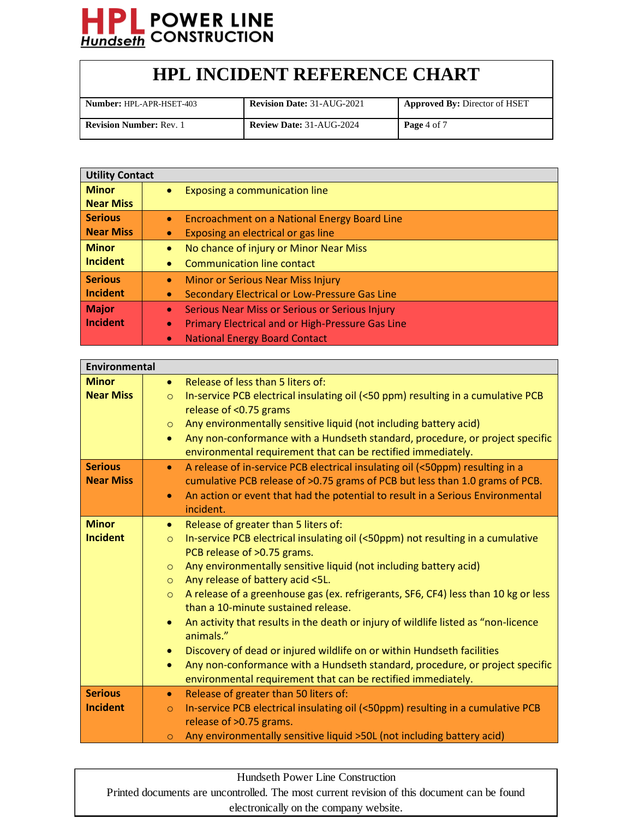

| <b>Number: HPL-APR-HSET-403</b> | <b>Revision Date: 31-AUG-2021</b> | <b>Approved By: Director of HSET</b> |
|---------------------------------|-----------------------------------|--------------------------------------|
| <b>Revision Number: Rev. 1</b>  | <b>Review Date: 31-AUG-2024</b>   | Page 4 of 7                          |

| <b>Utility Contact</b> |                                                                      |
|------------------------|----------------------------------------------------------------------|
| <b>Minor</b>           | Exposing a communication line<br>$\bullet$                           |
| <b>Near Miss</b>       |                                                                      |
| Serious                | Encroachment on a National Energy Board Line<br>$\bullet$            |
| Near Miss              | Exposing an electrical or gas line<br>$\bullet$                      |
| <b>Minor</b>           | No chance of injury or Minor Near Miss<br>$\bullet$                  |
| <b>Incident</b>        | <b>Communication line contact</b><br>$\bullet$                       |
| <b>Serious</b>         | <b>Minor or Serious Near Miss Injury</b><br>$\bullet$                |
| Incident               | Secondary Electrical or Low-Pressure Gas Line<br>$\bullet$           |
| Major                  | Serious Near Miss or Serious or Serious Injury<br>$\bullet$          |
| <b>Incident</b>        | <b>Primary Electrical and or High-Pressure Gas Line</b><br>$\bullet$ |
|                        | <b>National Energy Board Contact</b><br>$\bullet$                    |

| <b>Environmental</b>               |                                                                                                                                                                                                                                                                                        |
|------------------------------------|----------------------------------------------------------------------------------------------------------------------------------------------------------------------------------------------------------------------------------------------------------------------------------------|
| <b>Minor</b>                       | Release of less than 5 liters of:<br>$\bullet$                                                                                                                                                                                                                                         |
| <b>Near Miss</b>                   | In-service PCB electrical insulating oil (<50 ppm) resulting in a cumulative PCB<br>$\circ$<br>release of <0.75 grams                                                                                                                                                                  |
|                                    | Any environmentally sensitive liquid (not including battery acid)<br>$\circ$                                                                                                                                                                                                           |
|                                    | Any non-conformance with a Hundseth standard, procedure, or project specific<br>$\bullet$<br>environmental requirement that can be rectified immediately.                                                                                                                              |
| <b>Serious</b><br><b>Near Miss</b> | A release of in-service PCB electrical insulating oil (<50ppm) resulting in a<br>$\bullet$<br>cumulative PCB release of >0.75 grams of PCB but less than 1.0 grams of PCB.<br>An action or event that had the potential to result in a Serious Environmental<br>$\bullet$<br>incident. |
| <b>Minor</b>                       | Release of greater than 5 liters of:<br>$\bullet$                                                                                                                                                                                                                                      |
| <b>Incident</b>                    | In-service PCB electrical insulating oil (<50ppm) not resulting in a cumulative<br>$\circ$                                                                                                                                                                                             |
|                                    | PCB release of >0.75 grams.                                                                                                                                                                                                                                                            |
|                                    | Any environmentally sensitive liquid (not including battery acid)<br>$\circ$                                                                                                                                                                                                           |
|                                    | Any release of battery acid <5L.<br>$\circ$                                                                                                                                                                                                                                            |
|                                    | A release of a greenhouse gas (ex. refrigerants, SF6, CF4) less than 10 kg or less<br>$\circ$<br>than a 10-minute sustained release.                                                                                                                                                   |
|                                    | An activity that results in the death or injury of wildlife listed as "non-licence<br>$\bullet$<br>animals."                                                                                                                                                                           |
|                                    | Discovery of dead or injured wildlife on or within Hundseth facilities<br>$\bullet$                                                                                                                                                                                                    |
|                                    | Any non-conformance with a Hundseth standard, procedure, or project specific<br>$\bullet$                                                                                                                                                                                              |
|                                    | environmental requirement that can be rectified immediately.                                                                                                                                                                                                                           |
| <b>Serious</b>                     | Release of greater than 50 liters of:<br>$\bullet$                                                                                                                                                                                                                                     |
| <b>Incident</b>                    | In-service PCB electrical insulating oil (<50ppm) resulting in a cumulative PCB<br>$\circ$                                                                                                                                                                                             |
|                                    | release of >0.75 grams.                                                                                                                                                                                                                                                                |
|                                    | Any environmentally sensitive liquid >50L (not including battery acid)<br>$\circ$                                                                                                                                                                                                      |

Hundseth Power Line Construction

Printed documents are uncontrolled. The most current revision of this document can be found electronically on the company website.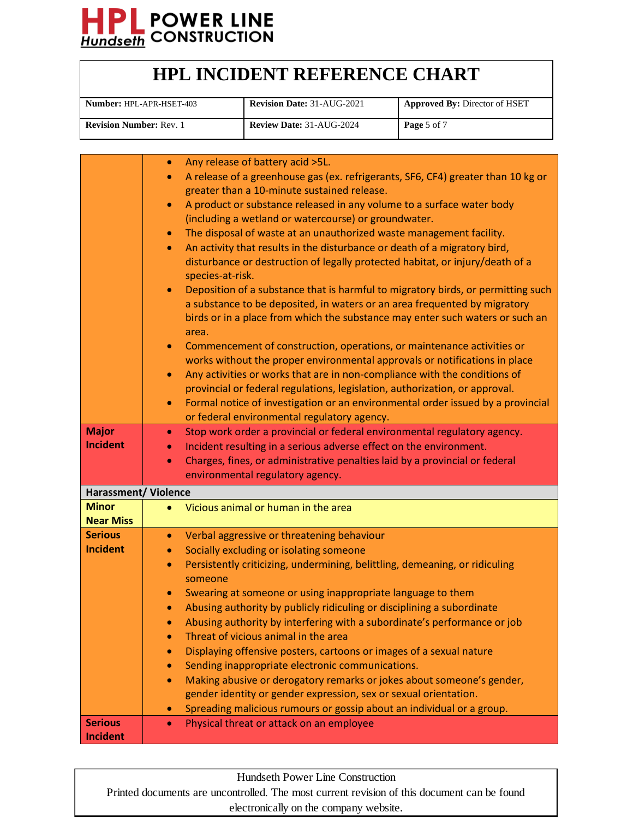

| <b>Number: HPL-APR-HSET-403</b> | <b>Revision Date: 31-AUG-2021</b> | <b>Approved By: Director of HSET</b> |
|---------------------------------|-----------------------------------|--------------------------------------|
| <b>Revision Number: Rev. 1</b>  | <b>Review Date: 31-AUG-2024</b>   | Page 5 of 7                          |

|                             | Any release of battery acid >5L.<br>$\bullet$                                                 |
|-----------------------------|-----------------------------------------------------------------------------------------------|
|                             | A release of a greenhouse gas (ex. refrigerants, SF6, CF4) greater than 10 kg or<br>$\bullet$ |
|                             | greater than a 10-minute sustained release.                                                   |
|                             | A product or substance released in any volume to a surface water body<br>$\bullet$            |
|                             | (including a wetland or watercourse) or groundwater.                                          |
|                             | The disposal of waste at an unauthorized waste management facility.<br>$\bullet$              |
|                             | An activity that results in the disturbance or death of a migratory bird,<br>$\bullet$        |
|                             | disturbance or destruction of legally protected habitat, or injury/death of a                 |
|                             | species-at-risk.                                                                              |
|                             |                                                                                               |
|                             | Deposition of a substance that is harmful to migratory birds, or permitting such<br>$\bullet$ |
|                             | a substance to be deposited, in waters or an area frequented by migratory                     |
|                             | birds or in a place from which the substance may enter such waters or such an                 |
|                             | area.                                                                                         |
|                             | Commencement of construction, operations, or maintenance activities or<br>$\bullet$           |
|                             | works without the proper environmental approvals or notifications in place                    |
|                             | Any activities or works that are in non-compliance with the conditions of<br>$\bullet$        |
|                             | provincial or federal regulations, legislation, authorization, or approval.                   |
|                             | Formal notice of investigation or an environmental order issued by a provincial<br>$\bullet$  |
|                             | or federal environmental regulatory agency.                                                   |
| <b>Major</b>                | Stop work order a provincial or federal environmental regulatory agency.<br>$\bullet$         |
| <b>Incident</b>             | Incident resulting in a serious adverse effect on the environment.<br>$\bullet$               |
|                             | Charges, fines, or administrative penalties laid by a provincial or federal<br>$\bullet$      |
|                             | environmental regulatory agency.                                                              |
| <b>Harassment/ Violence</b> |                                                                                               |
| <b>Minor</b>                | Vicious animal or human in the area                                                           |
| <b>Near Miss</b>            |                                                                                               |
| <b>Serious</b>              | Verbal aggressive or threatening behaviour<br>$\bullet$                                       |
| <b>Incident</b>             | Socially excluding or isolating someone<br>$\bullet$                                          |
|                             | Persistently criticizing, undermining, belittling, demeaning, or ridiculing<br>$\bullet$      |
|                             | someone                                                                                       |
|                             |                                                                                               |
|                             | Swearing at someone or using inappropriate language to them<br>$\bullet$                      |
|                             | Abusing authority by publicly ridiculing or disciplining a subordinate<br>$\bullet$           |
|                             | Abusing authority by interfering with a subordinate's performance or job                      |
|                             | Threat of vicious animal in the area                                                          |
|                             | Displaying offensive posters, cartoons or images of a sexual nature<br>$\bullet$              |
|                             | Sending inappropriate electronic communications.<br>$\bullet$                                 |
|                             | Making abusive or derogatory remarks or jokes about someone's gender,<br>$\bullet$            |
|                             | gender identity or gender expression, sex or sexual orientation.                              |
|                             | Spreading malicious rumours or gossip about an individual or a group.                         |
| <b>Serious</b>              | Physical threat or attack on an employee<br>$\bullet$                                         |
| <b>Incident</b>             |                                                                                               |

Hundseth Power Line Construction

Printed documents are uncontrolled. The most current revision of this document can be found electronically on the company website.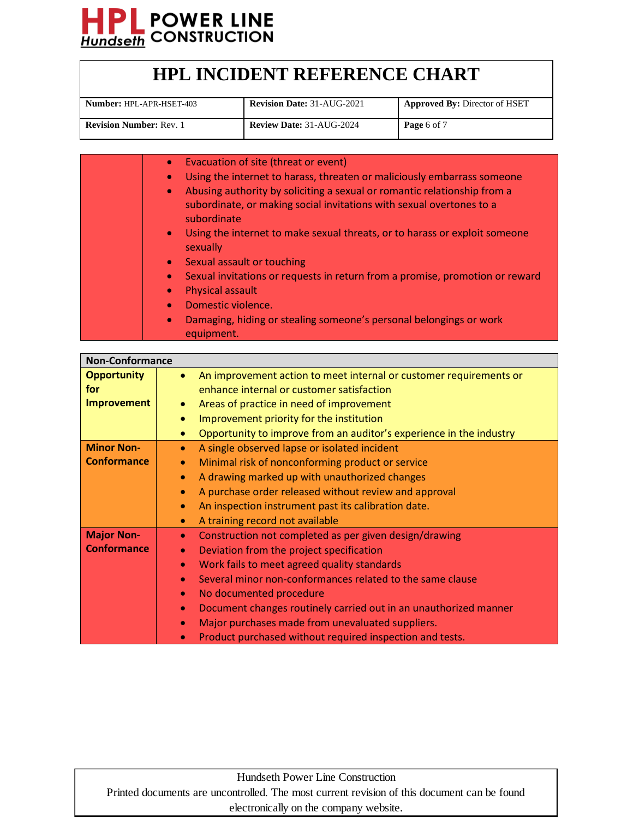

| <b>HPL INCIDENT REFERENCE CHART</b> |  |
|-------------------------------------|--|
|-------------------------------------|--|

| <b>Number: HPL-APR-HSET-403</b> | <b>Revision Date: 31-AUG-2021</b> | <b>Approved By: Director of HSET</b> |
|---------------------------------|-----------------------------------|--------------------------------------|
| <b>Revision Number: Rev. 1</b>  | <b>Review Date: 31-AUG-2024</b>   | Page 6 of 7                          |

| Evacuation of site (threat or event)<br>$\bullet$                                                   |
|-----------------------------------------------------------------------------------------------------|
| Using the internet to harass, threaten or maliciously embarrass someone<br>$\bullet$                |
| Abusing authority by soliciting a sexual or romantic relationship from a<br>$\bullet$               |
| subordinate, or making social invitations with sexual overtones to a<br>subordinate                 |
| Using the internet to make sexual threats, or to harass or exploit someone<br>$\bullet$<br>sexually |
| Sexual assault or touching<br>$\bullet$                                                             |
| Sexual invitations or requests in return from a promise, promotion or reward<br>$\bullet$           |
| <b>Physical assault</b><br>$\bullet$                                                                |
| Domestic violence.<br>$\bullet$                                                                     |
| Damaging, hiding or stealing someone's personal belongings or work<br>$\bullet$<br>equipment.       |

| <b>Non-Conformance</b> |                                                                                 |
|------------------------|---------------------------------------------------------------------------------|
| <b>Opportunity</b>     | An improvement action to meet internal or customer requirements or<br>$\bullet$ |
| for                    | enhance internal or customer satisfaction                                       |
| <b>Improvement</b>     | Areas of practice in need of improvement                                        |
|                        | Improvement priority for the institution<br>$\bullet$                           |
|                        | Opportunity to improve from an auditor's experience in the industry<br>۰        |
| <b>Minor Non-</b>      | A single observed lapse or isolated incident<br>$\bullet$                       |
| <b>Conformance</b>     | Minimal risk of nonconforming product or service<br>$\bullet$                   |
|                        | A drawing marked up with unauthorized changes<br>$\bullet$                      |
|                        | A purchase order released without review and approval<br>$\bullet$              |
|                        | An inspection instrument past its calibration date.<br>$\bullet$                |
|                        | A training record not available<br>$\bullet$                                    |
| <b>Major Non-</b>      | Construction not completed as per given design/drawing<br>$\bullet$             |
| <b>Conformance</b>     | Deviation from the project specification<br>$\bullet$                           |
|                        | Work fails to meet agreed quality standards<br>$\bullet$                        |
|                        | Several minor non-conformances related to the same clause<br>$\bullet$          |
|                        | No documented procedure<br>$\bullet$                                            |
|                        | Document changes routinely carried out in an unauthorized manner<br>$\bullet$   |
|                        | Major purchases made from unevaluated suppliers.                                |
|                        | Product purchased without required inspection and tests.                        |